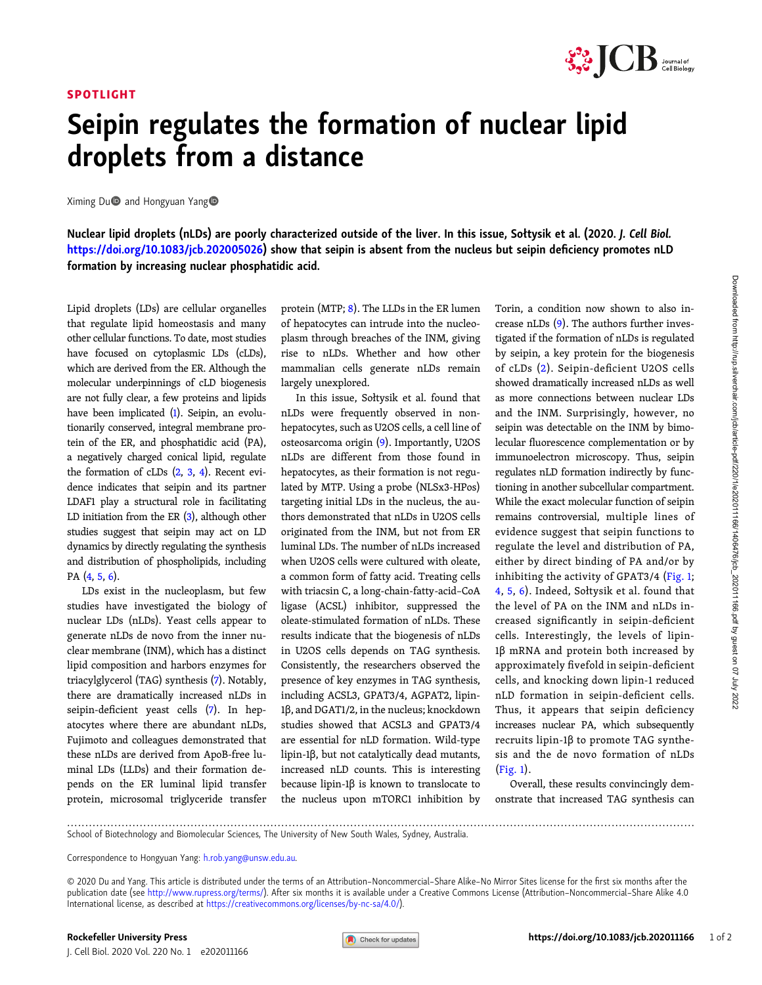### SPOTLIGHT



## Seipin regulates the formation of nuclear lipid droplets from a distance

Ximing Du<sup>o</sup> and Hongyuan Yang<sup>o</sup>

Nuclear lipid droplets (nLDs) are poorly characterized outside of the liver. In this issue, Sołtysik et al. (2020. J. Cell Biol. <https://doi.org/10.1083/jcb.202005026>) show that seipin is absent from the nucleus but seipin deficiency promotes nLD formation by increasing nuclear phosphatidic acid.

Lipid droplets (LDs) are cellular organelles that regulate lipid homeostasis and many other cellular functions. To date, most studies have focused on cytoplasmic LDs (cLDs), which are derived from the ER. Although the molecular underpinnings of cLD biogenesis are not fully clear, a few proteins and lipids have been implicated [\(1](#page-1-0)). Seipin, an evolutionarily conserved, integral membrane protein of the ER, and phosphatidic acid (PA), a negatively charged conical lipid, regulate the formation of cLDs  $(2, 3, 4)$  $(2, 3, 4)$  $(2, 3, 4)$  $(2, 3, 4)$  $(2, 3, 4)$  $(2, 3, 4)$ . Recent evidence indicates that seipin and its partner LDAF1 play a structural role in facilitating LD initiation from the ER  $(3)$  $(3)$ , although other studies suggest that seipin may act on LD dynamics by directly regulating the synthesis and distribution of phospholipids, including PA [\(4,](#page-1-0) [5](#page-1-0), [6](#page-1-0)).

LDs exist in the nucleoplasm, but few studies have investigated the biology of nuclear LDs (nLDs). Yeast cells appear to generate nLDs de novo from the inner nuclear membrane (INM), which has a distinct lipid composition and harbors enzymes for triacylglycerol (TAG) synthesis [\(7\)](#page-1-0). Notably, there are dramatically increased nLDs in seipin-deficient yeast cells ([7\)](#page-1-0). In hepatocytes where there are abundant nLDs, Fujimoto and colleagues demonstrated that these nLDs are derived from ApoB-free luminal LDs (LLDs) and their formation depends on the ER luminal lipid transfer protein, microsomal triglyceride transfer

protein (MTP; [8](#page-1-0)). The LLDs in the ER lumen of hepatocytes can intrude into the nucleoplasm through breaches of the INM, giving rise to nLDs. Whether and how other mammalian cells generate nLDs remain largely unexplored.

In this issue, Sołtysik et al. found that nLDs were frequently observed in nonhepatocytes, such as U2OS cells, a cell line of osteosarcoma origin [\(9](#page-1-0)). Importantly, U2OS nLDs are different from those found in hepatocytes, as their formation is not regulated by MTP. Using a probe (NLSx3-HPos) targeting initial LDs in the nucleus, the authors demonstrated that nLDs in U2OS cells originated from the INM, but not from ER luminal LDs. The number of nLDs increased when U2OS cells were cultured with oleate, a common form of fatty acid. Treating cells with triacsin C, a long-chain-fatty-acid–CoA ligase (ACSL) inhibitor, suppressed the oleate-stimulated formation of nLDs. These results indicate that the biogenesis of nLDs in U2OS cells depends on TAG synthesis. Consistently, the researchers observed the presence of key enzymes in TAG synthesis, including ACSL3, GPAT3/4, AGPAT2, lipin-1β, and DGAT1/2, in the nucleus; knockdown studies showed that ACSL3 and GPAT3/4 are essential for nLD formation. Wild-type lipin-1β, but not catalytically dead mutants, increased nLD counts. This is interesting because lipin-1β is known to translocate to the nucleus upon mTORC1 inhibition by Torin, a condition now shown to also increase nLDs  $(9)$ . The authors further investigated if the formation of nLDs is regulated by seipin, a key protein for the biogenesis of cLDs ([2](#page-1-0)). Seipin-deficient U2OS cells showed dramatically increased nLDs as well as more connections between nuclear LDs and the INM. Surprisingly, however, no seipin was detectable on the INM by bimolecular fluorescence complementation or by immunoelectron microscopy. Thus, seipin regulates nLD formation indirectly by functioning in another subcellular compartment. While the exact molecular function of seipin remains controversial, multiple lines of evidence suggest that seipin functions to regulate the level and distribution of PA, either by direct binding of PA and/or by inhibiting the activity of GPAT3/4 ([Fig. 1;](#page-1-0) [4,](#page-1-0) [5](#page-1-0), [6\)](#page-1-0). Indeed, Sołtysik et al. found that the level of PA on the INM and nLDs increased significantly in seipin-deficient cells. Interestingly, the levels of lipin-1β mRNA and protein both increased by approximately fivefold in seipin-deficient cells, and knocking down lipin-1 reduced nLD formation in seipin-deficient cells. Thus, it appears that seipin deficiency increases nuclear PA, which subsequently recruits lipin-1β to promote TAG synthesis and the de novo formation of nLDs [\(Fig. 1](#page-1-0)).

Overall, these results convincingly demonstrate that increased TAG synthesis can

.............................................................................................................................................................................

School of Biotechnology and Biomolecular Sciences, The University of New South Wales, Sydney, Australia.

Correspondence to Hongyuan Yang: [h.rob.yang@unsw.edu.au](mailto:h.rob.yang@unsw.edu.au).

J. Cell Biol. 2020 Vol. 220 No. 1 e202011166

<sup>© 2020</sup> Du and Yang. This article is distributed under the terms of an Attribution–Noncommercial–Share Alike–No Mirror Sites license for the first six months after the publication date (see [http://www.rupress.org/terms/\)](http://www.rupress.org/terms/). After six months it is available under a Creative Commons License (Attribution-Noncommercial-Share Alike 4.0 International license, as described at <https://creativecommons.org/licenses/by-nc-sa/4.0/>).